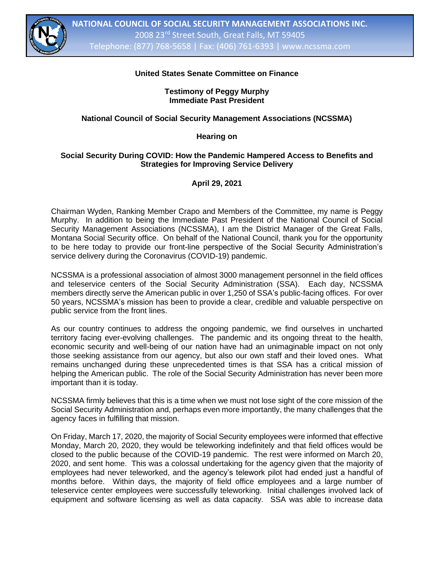

# **United States Senate Committee on Finance**

**Testimony of Peggy Murphy Immediate Past President**

## **National Council of Social Security Management Associations (NCSSMA)**

#### **Hearing on**

#### **Social Security During COVID: How the Pandemic Hampered Access to Benefits and Strategies for Improving Service Delivery**

## **April 29, 2021**

Chairman Wyden, Ranking Member Crapo and Members of the Committee, my name is Peggy Murphy. In addition to being the Immediate Past President of the National Council of Social Security Management Associations (NCSSMA), I am the District Manager of the Great Falls, Montana Social Security office. On behalf of the National Council, thank you for the opportunity to be here today to provide our front-line perspective of the Social Security Administration's service delivery during the Coronavirus (COVID-19) pandemic.

NCSSMA is a professional association of almost 3000 management personnel in the field offices and teleservice centers of the Social Security Administration (SSA). Each day, NCSSMA members directly serve the American public in over 1,250 of SSA's public-facing offices. For over 50 years, NCSSMA's mission has been to provide a clear, credible and valuable perspective on public service from the front lines.

As our country continues to address the ongoing pandemic, we find ourselves in uncharted territory facing ever-evolving challenges. The pandemic and its ongoing threat to the health, economic security and well-being of our nation have had an unimaginable impact on not only those seeking assistance from our agency, but also our own staff and their loved ones. What remains unchanged during these unprecedented times is that SSA has a critical mission of helping the American public. The role of the Social Security Administration has never been more important than it is today.

NCSSMA firmly believes that this is a time when we must not lose sight of the core mission of the Social Security Administration and, perhaps even more importantly, the many challenges that the agency faces in fulfilling that mission.

On Friday, March 17, 2020, the majority of Social Security employees were informed that effective Monday, March 20, 2020, they would be teleworking indefinitely and that field offices would be closed to the public because of the COVID-19 pandemic. The rest were informed on March 20, 2020, and sent home. This was a colossal undertaking for the agency given that the majority of employees had never teleworked, and the agency's telework pilot had ended just a handful of months before. Within days, the majority of field office employees and a large number of teleservice center employees were successfully teleworking. Initial challenges involved lack of equipment and software licensing as well as data capacity. SSA was able to increase data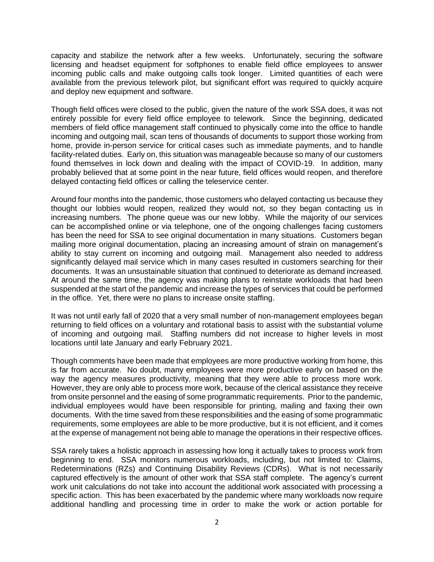capacity and stabilize the network after a few weeks. Unfortunately, securing the software licensing and headset equipment for softphones to enable field office employees to answer incoming public calls and make outgoing calls took longer. Limited quantities of each were available from the previous telework pilot, but significant effort was required to quickly acquire and deploy new equipment and software.

Though field offices were closed to the public, given the nature of the work SSA does, it was not entirely possible for every field office employee to telework. Since the beginning, dedicated members of field office management staff continued to physically come into the office to handle incoming and outgoing mail, scan tens of thousands of documents to support those working from home, provide in-person service for critical cases such as immediate payments, and to handle facility-related duties. Early on, this situation was manageable because so many of our customers found themselves in lock down and dealing with the impact of COVID-19. In addition, many probably believed that at some point in the near future, field offices would reopen, and therefore delayed contacting field offices or calling the teleservice center.

Around four months into the pandemic, those customers who delayed contacting us because they thought our lobbies would reopen, realized they would not, so they began contacting us in increasing numbers. The phone queue was our new lobby. While the majority of our services can be accomplished online or via telephone, one of the ongoing challenges facing customers has been the need for SSA to see original documentation in many situations. Customers began mailing more original documentation, placing an increasing amount of strain on management's ability to stay current on incoming and outgoing mail. Management also needed to address significantly delayed mail service which in many cases resulted in customers searching for their documents. It was an unsustainable situation that continued to deteriorate as demand increased. At around the same time, the agency was making plans to reinstate workloads that had been suspended at the start of the pandemic and increase the types of services that could be performed in the office. Yet, there were no plans to increase onsite staffing.

It was not until early fall of 2020 that a very small number of non-management employees began returning to field offices on a voluntary and rotational basis to assist with the substantial volume of incoming and outgoing mail. Staffing numbers did not increase to higher levels in most locations until late January and early February 2021.

Though comments have been made that employees are more productive working from home, this is far from accurate. No doubt, many employees were more productive early on based on the way the agency measures productivity, meaning that they were able to process more work. However, they are only able to process more work, because of the clerical assistance they receive from onsite personnel and the easing of some programmatic requirements. Prior to the pandemic, individual employees would have been responsible for printing, mailing and faxing their own documents. With the time saved from these responsibilities and the easing of some programmatic requirements, some employees are able to be more productive, but it is not efficient, and it comes at the expense of management not being able to manage the operations in their respective offices.

SSA rarely takes a holistic approach in assessing how long it actually takes to process work from beginning to end. SSA monitors numerous workloads, including, but not limited to: Claims, Redeterminations (RZs) and Continuing Disability Reviews (CDRs). What is not necessarily captured effectively is the amount of other work that SSA staff complete. The agency's current work unit calculations do not take into account the additional work associated with processing a specific action. This has been exacerbated by the pandemic where many workloads now require additional handling and processing time in order to make the work or action portable for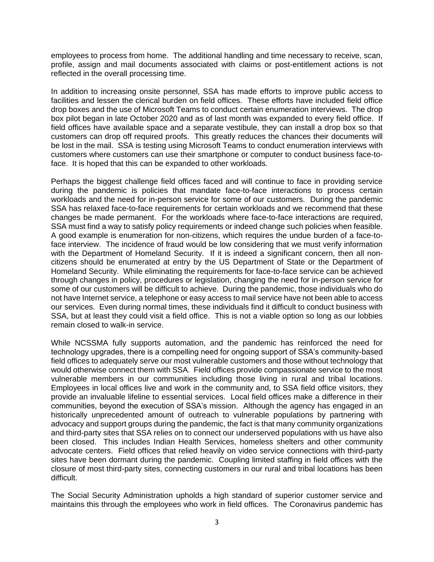employees to process from home. The additional handling and time necessary to receive, scan, profile, assign and mail documents associated with claims or post-entitlement actions is not reflected in the overall processing time.

In addition to increasing onsite personnel, SSA has made efforts to improve public access to facilities and lessen the clerical burden on field offices. These efforts have included field office drop boxes and the use of Microsoft Teams to conduct certain enumeration interviews. The drop box pilot began in late October 2020 and as of last month was expanded to every field office. If field offices have available space and a separate vestibule, they can install a drop box so that customers can drop off required proofs. This greatly reduces the chances their documents will be lost in the mail. SSA is testing using Microsoft Teams to conduct enumeration interviews with customers where customers can use their smartphone or computer to conduct business face-toface. It is hoped that this can be expanded to other workloads.

Perhaps the biggest challenge field offices faced and will continue to face in providing service during the pandemic is policies that mandate face-to-face interactions to process certain workloads and the need for in-person service for some of our customers. During the pandemic SSA has relaxed face-to-face requirements for certain workloads and we recommend that these changes be made permanent. For the workloads where face-to-face interactions are required, SSA must find a way to satisfy policy requirements or indeed change such policies when feasible. A good example is enumeration for non-citizens, which requires the undue burden of a face-toface interview. The incidence of fraud would be low considering that we must verify information with the Department of Homeland Security. If it is indeed a significant concern, then all noncitizens should be enumerated at entry by the US Department of State or the Department of Homeland Security. While eliminating the requirements for face-to-face service can be achieved through changes in policy, procedures or legislation, changing the need for in-person service for some of our customers will be difficult to achieve. During the pandemic, those individuals who do not have Internet service, a telephone or easy access to mail service have not been able to access our services. Even during normal times, these individuals find it difficult to conduct business with SSA, but at least they could visit a field office. This is not a viable option so long as our lobbies remain closed to walk-in service.

While NCSSMA fully supports automation, and the pandemic has reinforced the need for technology upgrades, there is a compelling need for ongoing support of SSA's community-based field offices to adequately serve our most vulnerable customers and those without technology that would otherwise connect them with SSA. Field offices provide compassionate service to the most vulnerable members in our communities including those living in rural and tribal locations. Employees in local offices live and work in the community and, to SSA field office visitors, they provide an invaluable lifeline to essential services. Local field offices make a difference in their communities, beyond the execution of SSA's mission. Although the agency has engaged in an historically unprecedented amount of outreach to vulnerable populations by partnering with advocacy and support groups during the pandemic, the fact is that many community organizations and third-party sites that SSA relies on to connect our underserved populations with us have also been closed. This includes Indian Health Services, homeless shelters and other community advocate centers. Field offices that relied heavily on video service connections with third-party sites have been dormant during the pandemic. Coupling limited staffing in field offices with the closure of most third-party sites, connecting customers in our rural and tribal locations has been difficult.

The Social Security Administration upholds a high standard of superior customer service and maintains this through the employees who work in field offices. The Coronavirus pandemic has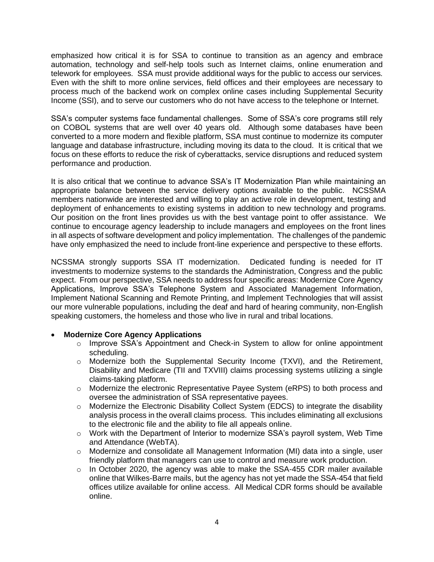emphasized how critical it is for SSA to continue to transition as an agency and embrace automation, technology and self-help tools such as Internet claims, online enumeration and telework for employees. SSA must provide additional ways for the public to access our services. Even with the shift to more online services, field offices and their employees are necessary to process much of the backend work on complex online cases including Supplemental Security Income (SSI), and to serve our customers who do not have access to the telephone or Internet.

SSA's computer systems face fundamental challenges. Some of SSA's core programs still rely on COBOL systems that are well over 40 years old. Although some databases have been converted to a more modern and flexible platform, SSA must continue to modernize its computer language and database infrastructure, including moving its data to the cloud. It is critical that we focus on these efforts to reduce the risk of cyberattacks, service disruptions and reduced system performance and production.

It is also critical that we continue to advance SSA's IT Modernization Plan while maintaining an appropriate balance between the service delivery options available to the public. NCSSMA members nationwide are interested and willing to play an active role in development, testing and deployment of enhancements to existing systems in addition to new technology and programs. Our position on the front lines provides us with the best vantage point to offer assistance. We continue to encourage agency leadership to include managers and employees on the front lines in all aspects of software development and policy implementation. The challenges of the pandemic have only emphasized the need to include front-line experience and perspective to these efforts.

NCSSMA strongly supports SSA IT modernization. Dedicated funding is needed for IT investments to modernize systems to the standards the Administration, Congress and the public expect. From our perspective, SSA needs to address four specific areas: Modernize Core Agency Applications, Improve SSA's Telephone System and Associated Management Information, Implement National Scanning and Remote Printing, and Implement Technologies that will assist our more vulnerable populations, including the deaf and hard of hearing community, non-English speaking customers, the homeless and those who live in rural and tribal locations.

## • **Modernize Core Agency Applications**

- o Improve SSA's Appointment and Check-in System to allow for online appointment scheduling.
- o Modernize both the Supplemental Security Income (TXVI), and the Retirement, Disability and Medicare (TII and TXVIII) claims processing systems utilizing a single claims-taking platform.
- o Modernize the electronic Representative Payee System (eRPS) to both process and oversee the administration of SSA representative payees.
- o Modernize the Electronic Disability Collect System (EDCS) to integrate the disability analysis process in the overall claims process. This includes eliminating all exclusions to the electronic file and the ability to file all appeals online.
- o Work with the Department of Interior to modernize SSA's payroll system, Web Time and Attendance (WebTA).
- $\circ$  Modernize and consolidate all Management Information (MI) data into a single, user friendly platform that managers can use to control and measure work production.
- $\circ$  In October 2020, the agency was able to make the SSA-455 CDR mailer available online that Wilkes-Barre mails, but the agency has not yet made the SSA-454 that field offices utilize available for online access. All Medical CDR forms should be available online.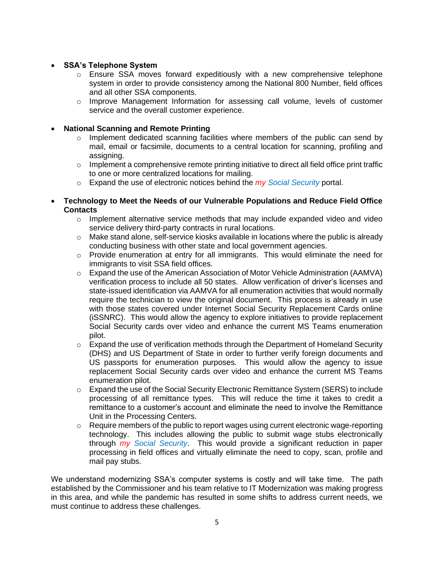# • **SSA's Telephone System**

- o Ensure SSA moves forward expeditiously with a new comprehensive telephone system in order to provide consistency among the National 800 Number, field offices and all other SSA components.
- o Improve Management Information for assessing call volume, levels of customer service and the overall customer experience.

## • **National Scanning and Remote Printing**

- o Implement dedicated scanning facilities where members of the public can send by mail, email or facsimile, documents to a central location for scanning, profiling and assigning.
- $\circ$  Implement a comprehensive remote printing initiative to direct all field office print traffic to one or more centralized locations for mailing.
- o Expand the use of electronic notices behind the *my Social Security* portal.
- **Technology to Meet the Needs of our Vulnerable Populations and Reduce Field Office Contacts**
	- $\circ$  Implement alternative service methods that may include expanded video and video service delivery third-party contracts in rural locations.
	- $\circ$  Make stand alone, self-service kiosks available in locations where the public is already conducting business with other state and local government agencies.
	- $\circ$  Provide enumeration at entry for all immigrants. This would eliminate the need for immigrants to visit SSA field offices.
	- $\circ$  Expand the use of the American Association of Motor Vehicle Administration (AAMVA) verification process to include all 50 states. Allow verification of driver's licenses and state-issued identification via AAMVA for all enumeration activities that would normally require the technician to view the original document. This process is already in use with those states covered under Internet Social Security Replacement Cards online (iSSNRC). This would allow the agency to explore initiatives to provide replacement Social Security cards over video and enhance the current MS Teams enumeration pilot.
	- o Expand the use of verification methods through the Department of Homeland Security (DHS) and US Department of State in order to further verify foreign documents and US passports for enumeration purposes. This would allow the agency to issue replacement Social Security cards over video and enhance the current MS Teams enumeration pilot.
	- $\circ$  Expand the use of the Social Security Electronic Remittance System (SERS) to include processing of all remittance types. This will reduce the time it takes to credit a remittance to a customer's account and eliminate the need to involve the Remittance Unit in the Processing Centers.
	- o Require members of the public to report wages using current electronic wage-reporting technology. This includes allowing the public to submit wage stubs electronically through *my Social Security*. This would provide a significant reduction in paper processing in field offices and virtually eliminate the need to copy, scan, profile and mail pay stubs.

We understand modernizing SSA's computer systems is costly and will take time. The path established by the Commissioner and his team relative to IT Modernization was making progress in this area, and while the pandemic has resulted in some shifts to address current needs, we must continue to address these challenges.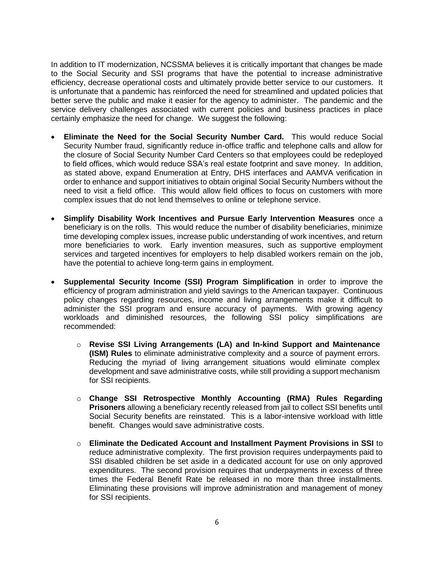In addition to IT modernization, NCSSMA believes it is critically important that changes be made to the Social Security and SSI programs that have the potential to increase administrative efficiency, decrease operational costs and ultimately provide better service to our customers. It is unfortunate that a pandemic has reinforced the need for streamlined and updated policies that better serve the public and make it easier for the agency to administer. The pandemic and the service delivery challenges associated with current policies and business practices in place certainly emphasize the need for change. We suggest the following:

- **Eliminate the Need for the Social Security Number Card.** This would reduce Social Security Number fraud, significantly reduce in-office traffic and telephone calls and allow for the closure of Social Security Number Card Centers so that employees could be redeployed to field offices, which would reduce SSA's real estate footprint and save money. In addition, as stated above, expand Enumeration at Entry, DHS interfaces and AAMVA verification in order to enhance and support initiatives to obtain original Social Security Numbers without the need to visit a field office. This would allow field offices to focus on customers with more complex issues that do not lend themselves to online or telephone service.
- **Simplify Disability Work Incentives and Pursue Early Intervention Measures** once a beneficiary is on the rolls. This would reduce the number of disability beneficiaries, minimize time developing complex issues, increase public understanding of work incentives, and return more beneficiaries to work. Early invention measures, such as supportive employment services and targeted incentives for employers to help disabled workers remain on the job, have the potential to achieve long-term gains in employment.
- **Supplemental Security Income (SSI) Program Simplification** in order to improve the efficiency of program administration and yield savings to the American taxpayer. Continuous policy changes regarding resources, income and living arrangements make it difficult to administer the SSI program and ensure accuracy of payments. With growing agency workloads and diminished resources, the following SSI policy simplifications are recommended:
	- o **Revise SSI Living Arrangements (LA) and In-kind Support and Maintenance (ISM) Rules** to eliminate administrative complexity and a source of payment errors. Reducing the myriad of living arrangement situations would eliminate complex development and save administrative costs, while still providing a support mechanism for SSI recipients.
	- o **Change SSI Retrospective Monthly Accounting (RMA) Rules Regarding Prisoners** allowing a beneficiary recently released from jail to collect SSI benefits until Social Security benefits are reinstated. This is a labor-intensive workload with little benefit. Changes would save administrative costs.
	- o **Eliminate the Dedicated Account and Installment Payment Provisions in SSI** to reduce administrative complexity. The first provision requires underpayments paid to SSI disabled children be set aside in a dedicated account for use on only approved expenditures. The second provision requires that underpayments in excess of three times the Federal Benefit Rate be released in no more than three installments. Eliminating these provisions will improve administration and management of money for SSI recipients.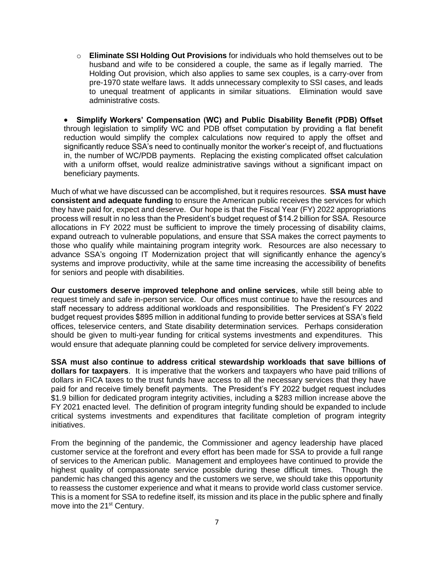o **Eliminate SSI Holding Out Provisions** for individuals who hold themselves out to be husband and wife to be considered a couple, the same as if legally married. The Holding Out provision, which also applies to same sex couples, is a carry-over from pre-1970 state welfare laws. It adds unnecessary complexity to SSI cases, and leads to unequal treatment of applicants in similar situations. Elimination would save administrative costs.

• **Simplify Workers' Compensation (WC) and Public Disability Benefit (PDB) Offset** through legislation to simplify WC and PDB offset computation by providing a flat benefit reduction would simplify the complex calculations now required to apply the offset and significantly reduce SSA's need to continually monitor the worker's receipt of, and fluctuations in, the number of WC/PDB payments. Replacing the existing complicated offset calculation with a uniform offset, would realize administrative savings without a significant impact on beneficiary payments.

Much of what we have discussed can be accomplished, but it requires resources. **SSA must have consistent and adequate funding** to ensure the American public receives the services for which they have paid for, expect and deserve. Our hope is that the Fiscal Year (FY) 2022 appropriations process will result in no less than the President's budget request of \$14.2 billion for SSA. Resource allocations in FY 2022 must be sufficient to improve the timely processing of disability claims, expand outreach to vulnerable populations, and ensure that SSA makes the correct payments to those who qualify while maintaining program integrity work. Resources are also necessary to advance SSA's ongoing IT Modernization project that will significantly enhance the agency's systems and improve productivity, while at the same time increasing the accessibility of benefits for seniors and people with disabilities.

**Our customers deserve improved telephone and online services**, while still being able to request timely and safe in-person service. Our offices must continue to have the resources and staff necessary to address additional workloads and responsibilities. The President's FY 2022 budget request provides \$895 million in additional funding to provide better services at SSA's field offices, teleservice centers, and State disability determination services. Perhaps consideration should be given to multi-year funding for critical systems investments and expenditures. This would ensure that adequate planning could be completed for service delivery improvements.

**SSA must also continue to address critical stewardship workloads that save billions of dollars for taxpayers**. It is imperative that the workers and taxpayers who have paid trillions of dollars in FICA taxes to the trust funds have access to all the necessary services that they have paid for and receive timely benefit payments. The President's FY 2022 budget request includes \$1.9 billion for dedicated program integrity activities, including a \$283 million increase above the FY 2021 enacted level. The definition of program integrity funding should be expanded to include critical systems investments and expenditures that facilitate completion of program integrity initiatives.

From the beginning of the pandemic, the Commissioner and agency leadership have placed customer service at the forefront and every effort has been made for SSA to provide a full range of services to the American public. Management and employees have continued to provide the highest quality of compassionate service possible during these difficult times. Though the pandemic has changed this agency and the customers we serve, we should take this opportunity to reassess the customer experience and what it means to provide world class customer service. This is a moment for SSA to redefine itself, its mission and its place in the public sphere and finally move into the 21<sup>st</sup> Century.